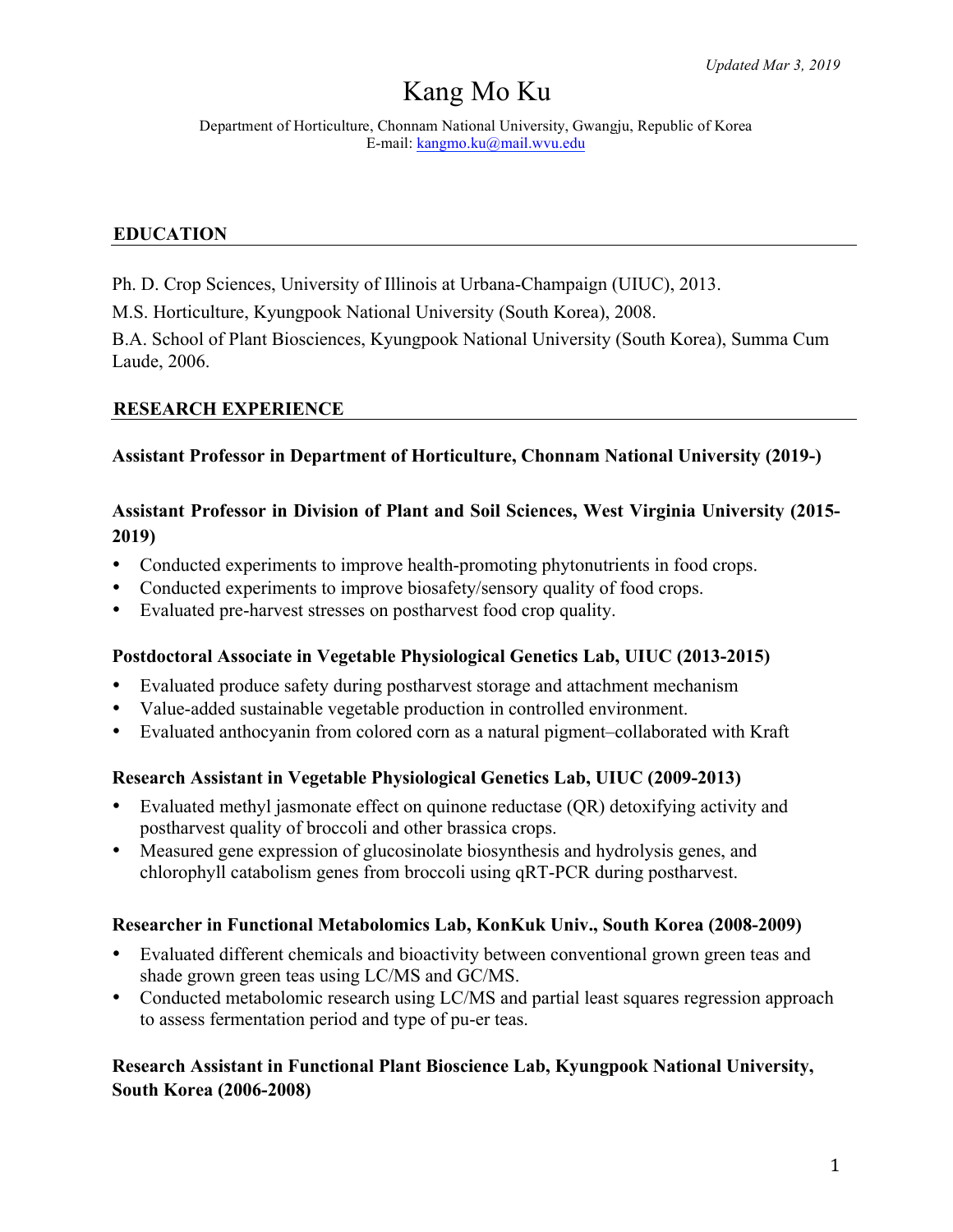# Kang Mo Ku

Department of Horticulture, Chonnam National University, Gwangju, Republic of Korea E-mail: kangmo.ku@mail.wvu.edu

## **EDUCATION**

Ph. D. Crop Sciences, University of Illinois at Urbana-Champaign (UIUC), 2013.

M.S. Horticulture, Kyungpook National University (South Korea), 2008.

B.A. School of Plant Biosciences, Kyungpook National University (South Korea), Summa Cum Laude, 2006.

#### **RESEARCH EXPERIENCE**

## **Assistant Professor in Department of Horticulture, Chonnam National University (2019-)**

# **Assistant Professor in Division of Plant and Soil Sciences, West Virginia University (2015- 2019)**

- Conducted experiments to improve health-promoting phytonutrients in food crops.
- Conducted experiments to improve biosafety/sensory quality of food crops.
- Evaluated pre-harvest stresses on postharvest food crop quality.

#### **Postdoctoral Associate in Vegetable Physiological Genetics Lab, UIUC (2013-2015)**

- Evaluated produce safety during postharvest storage and attachment mechanism
- Value-added sustainable vegetable production in controlled environment.
- Evaluated anthocyanin from colored corn as a natural pigment–collaborated with Kraft

#### **Research Assistant in Vegetable Physiological Genetics Lab, UIUC (2009-2013)**

- Evaluated methyl jasmonate effect on quinone reductase (QR) detoxifying activity and postharvest quality of broccoli and other brassica crops.
- Measured gene expression of glucosinolate biosynthesis and hydrolysis genes, and chlorophyll catabolism genes from broccoli using qRT-PCR during postharvest.

#### **Researcher in Functional Metabolomics Lab, KonKuk Univ., South Korea (2008-2009)**

- Evaluated different chemicals and bioactivity between conventional grown green teas and shade grown green teas using LC/MS and GC/MS.
- Conducted metabolomic research using LC/MS and partial least squares regression approach to assess fermentation period and type of pu-er teas.

# **Research Assistant in Functional Plant Bioscience Lab, Kyungpook National University, South Korea (2006-2008)**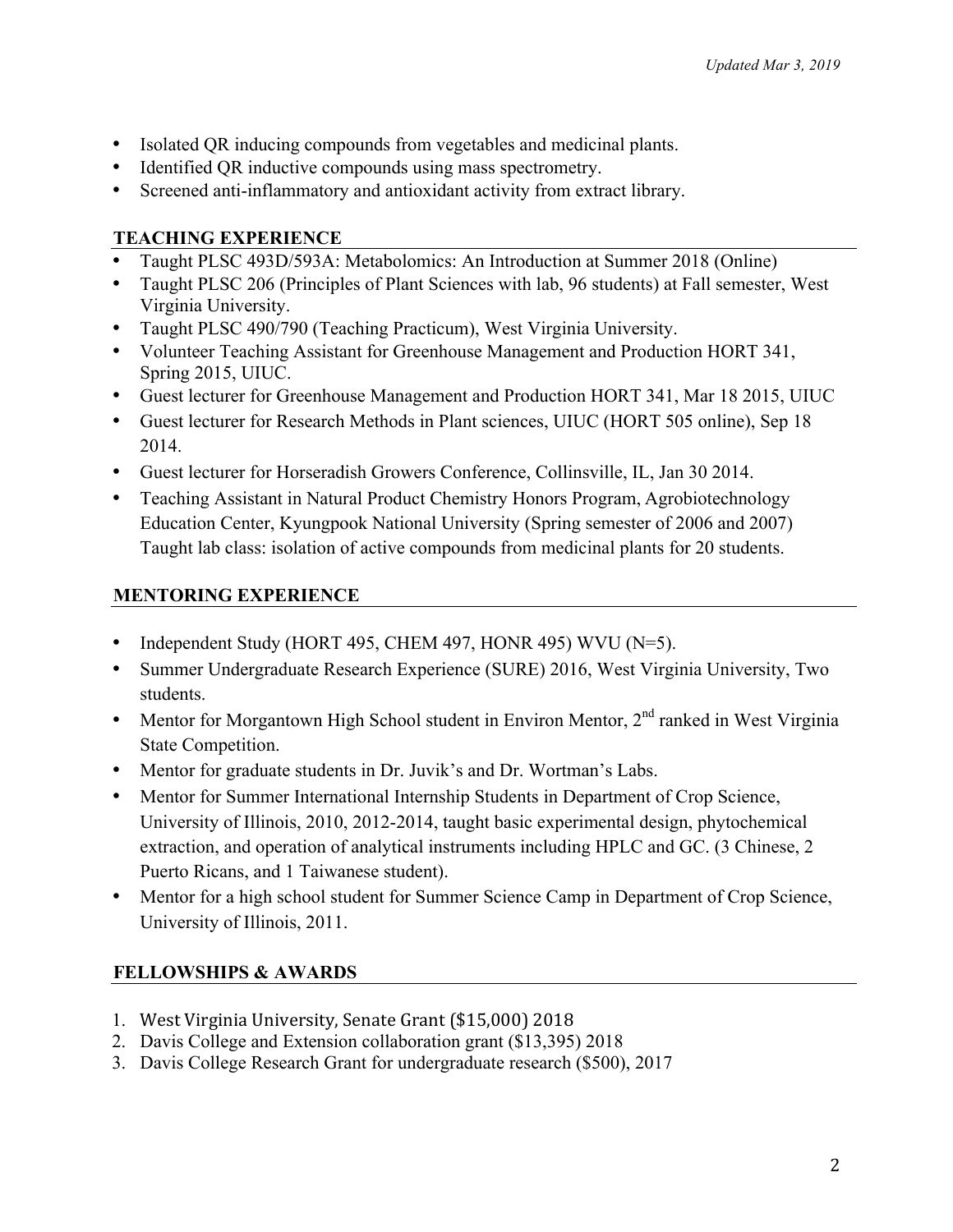- Isolated QR inducing compounds from vegetables and medicinal plants.
- Identified QR inductive compounds using mass spectrometry.
- Screened anti-inflammatory and antioxidant activity from extract library.

# **TEACHING EXPERIENCE**

- Taught PLSC 493D/593A: Metabolomics: An Introduction at Summer 2018 (Online)
- Taught PLSC 206 (Principles of Plant Sciences with lab, 96 students) at Fall semester, West Virginia University.
- Taught PLSC 490/790 (Teaching Practicum), West Virginia University.
- Volunteer Teaching Assistant for Greenhouse Management and Production HORT 341, Spring 2015, UIUC.
- Guest lecturer for Greenhouse Management and Production HORT 341, Mar 18 2015, UIUC
- Guest lecturer for Research Methods in Plant sciences, UIUC (HORT 505 online), Sep 18 2014.
- Guest lecturer for Horseradish Growers Conference, Collinsville, IL, Jan 30 2014.
- Teaching Assistant in Natural Product Chemistry Honors Program, Agrobiotechnology Education Center, Kyungpook National University (Spring semester of 2006 and 2007) Taught lab class: isolation of active compounds from medicinal plants for 20 students.

# **MENTORING EXPERIENCE**

- Independent Study (HORT 495, CHEM 497, HONR 495) WVU ( $N=5$ ).
- Summer Undergraduate Research Experience (SURE) 2016, West Virginia University, Two students.
- Mentor for Morgantown High School student in Environ Mentor,  $2<sup>nd</sup>$  ranked in West Virginia State Competition.
- Mentor for graduate students in Dr. Juvik's and Dr. Wortman's Labs.
- Mentor for Summer International Internship Students in Department of Crop Science, University of Illinois, 2010, 2012-2014, taught basic experimental design, phytochemical extraction, and operation of analytical instruments including HPLC and GC. (3 Chinese, 2 Puerto Ricans, and 1 Taiwanese student).
- Mentor for a high school student for Summer Science Camp in Department of Crop Science, University of Illinois, 2011.

# **FELLOWSHIPS & AWARDS**

- 1. West Virginia University, Senate Grant (\$15,000) 2018
- 2. Davis College and Extension collaboration grant (\$13,395) 2018
- 3. Davis College Research Grant for undergraduate research (\$500), 2017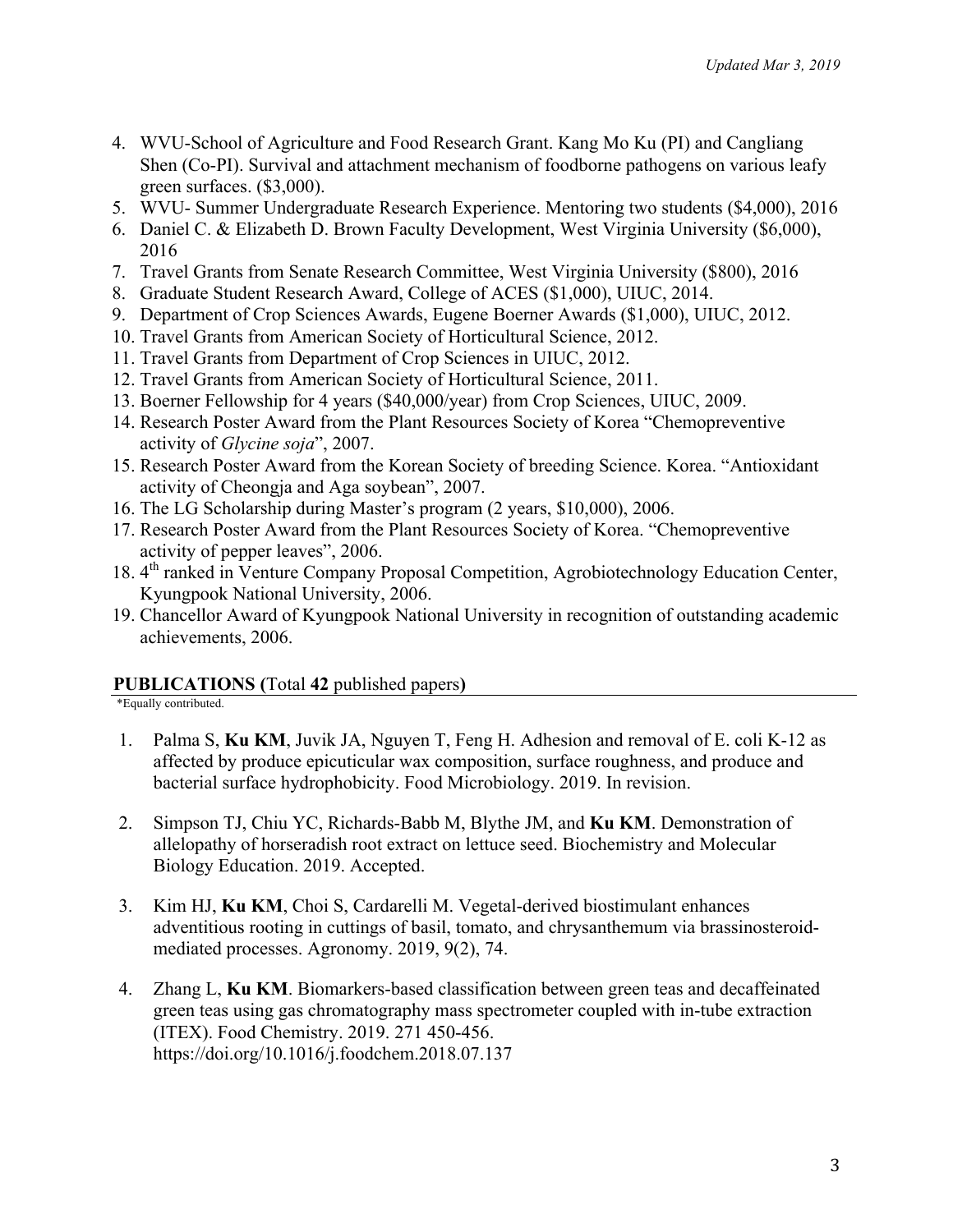- 4. WVU-School of Agriculture and Food Research Grant. Kang Mo Ku (PI) and Cangliang Shen (Co-PI). Survival and attachment mechanism of foodborne pathogens on various leafy green surfaces. (\$3,000).
- 5. WVU- Summer Undergraduate Research Experience. Mentoring two students (\$4,000), 2016
- 6. Daniel C. & Elizabeth D. Brown Faculty Development, West Virginia University (\$6,000), 2016
- 7. Travel Grants from Senate Research Committee, West Virginia University (\$800), 2016
- 8. Graduate Student Research Award, College of ACES (\$1,000), UIUC, 2014.
- 9. Department of Crop Sciences Awards, Eugene Boerner Awards (\$1,000), UIUC, 2012.
- 10. Travel Grants from American Society of Horticultural Science, 2012.
- 11. Travel Grants from Department of Crop Sciences in UIUC, 2012.
- 12. Travel Grants from American Society of Horticultural Science, 2011.
- 13. Boerner Fellowship for 4 years (\$40,000/year) from Crop Sciences, UIUC, 2009.
- 14. Research Poster Award from the Plant Resources Society of Korea "Chemopreventive activity of *Glycine soja*", 2007.
- 15. Research Poster Award from the Korean Society of breeding Science. Korea. "Antioxidant activity of Cheongja and Aga soybean", 2007.
- 16. The LG Scholarship during Master's program (2 years, \$10,000), 2006.
- 17. Research Poster Award from the Plant Resources Society of Korea. "Chemopreventive activity of pepper leaves", 2006.
- 18. 4<sup>th</sup> ranked in Venture Company Proposal Competition, Agrobiotechnology Education Center, Kyungpook National University, 2006.
- 19. Chancellor Award of Kyungpook National University in recognition of outstanding academic achievements, 2006.

# **PUBLICATIONS (**Total **42** published papers**)**

\*Equally contributed.

- 1. Palma S, **Ku KM**, Juvik JA, Nguyen T, Feng H. Adhesion and removal of E. coli K-12 as affected by produce epicuticular wax composition, surface roughness, and produce and bacterial surface hydrophobicity. Food Microbiology. 2019. In revision.
- 2. Simpson TJ, Chiu YC, Richards-Babb M, Blythe JM, and **Ku KM**. Demonstration of allelopathy of horseradish root extract on lettuce seed. Biochemistry and Molecular Biology Education. 2019. Accepted.
- 3. Kim HJ, **Ku KM**, Choi S, Cardarelli M. Vegetal-derived biostimulant enhances adventitious rooting in cuttings of basil, tomato, and chrysanthemum via brassinosteroidmediated processes. Agronomy. 2019, 9(2), 74.
- 4. Zhang L, **Ku KM**. Biomarkers-based classification between green teas and decaffeinated green teas using gas chromatography mass spectrometer coupled with in-tube extraction (ITEX). Food Chemistry. 2019. 271 450-456. https://doi.org/10.1016/j.foodchem.2018.07.137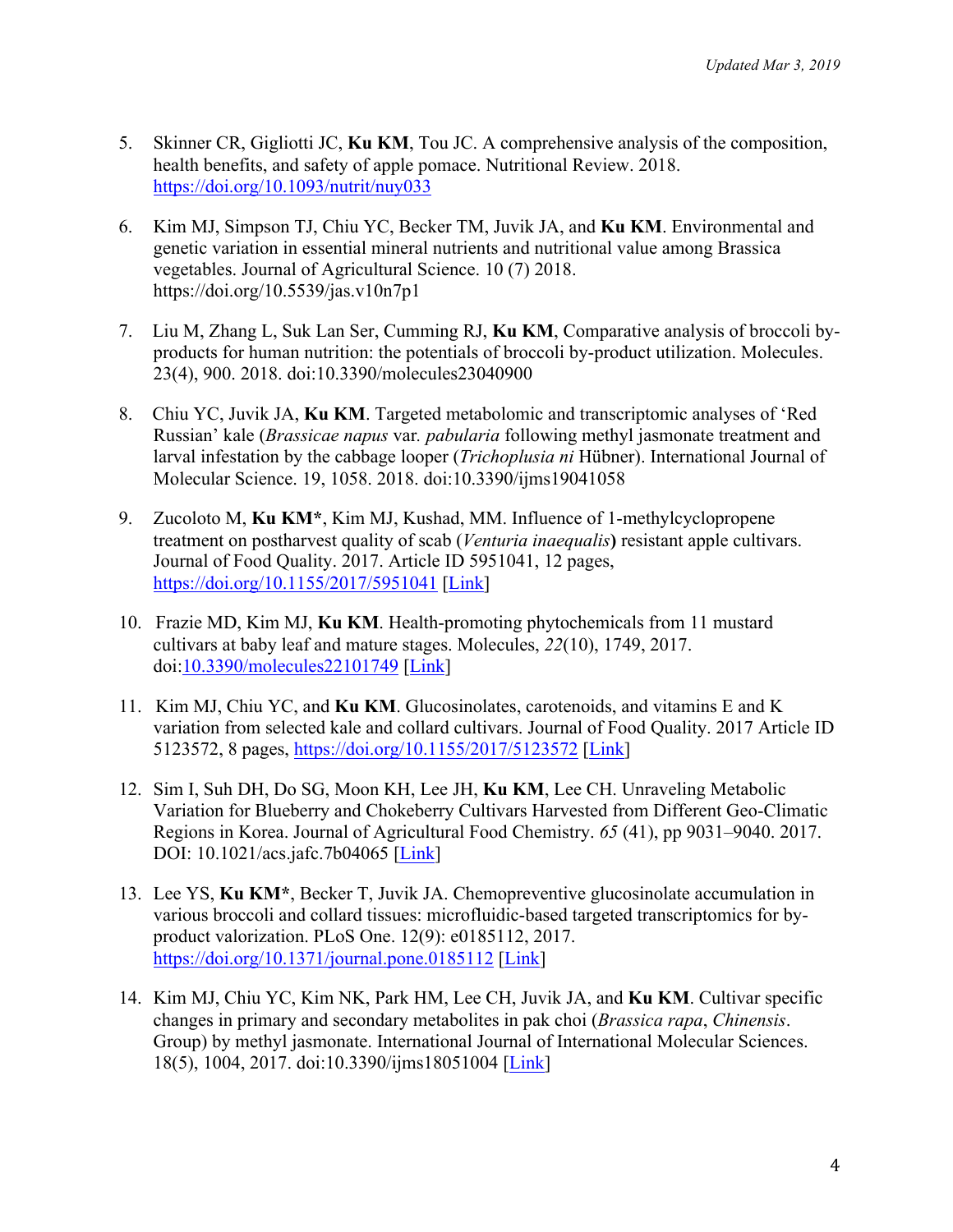- 5. Skinner CR, Gigliotti JC, **Ku KM**, Tou JC. A comprehensive analysis of the composition, health benefits, and safety of apple pomace. Nutritional Review. 2018. https://doi.org/10.1093/nutrit/nuy033
- 6. Kim MJ, Simpson TJ, Chiu YC, Becker TM, Juvik JA, and **Ku KM**. Environmental and genetic variation in essential mineral nutrients and nutritional value among Brassica vegetables. Journal of Agricultural Science. 10 (7) 2018. https://doi.org/10.5539/jas.v10n7p1
- 7. Liu M, Zhang L, Suk Lan Ser, Cumming RJ, **Ku KM**, Comparative analysis of broccoli byproducts for human nutrition: the potentials of broccoli by-product utilization. Molecules. 23(4), 900. 2018. doi:10.3390/molecules23040900
- 8. Chiu YC, Juvik JA, **Ku KM**. Targeted metabolomic and transcriptomic analyses of 'Red Russian' kale (*Brassicae napus* var*. pabularia* following methyl jasmonate treatment and larval infestation by the cabbage looper (*Trichoplusia ni* Hübner). International Journal of Molecular Science. 19, 1058. 2018. doi:10.3390/ijms19041058
- 9. Zucoloto M, **Ku KM\***, Kim MJ, Kushad, MM. Influence of 1-methylcyclopropene treatment on postharvest quality of scab (*Venturia inaequalis***)** resistant apple cultivars. Journal of Food Quality. 2017. Article ID 5951041, 12 pages, https://doi.org/10.1155/2017/5951041 [Link]
- 10. Frazie MD, Kim MJ, **Ku KM**. Health-promoting phytochemicals from 11 mustard cultivars at baby leaf and mature stages. Molecules, *22*(10), 1749, 2017. doi:10.3390/molecules22101749 [Link]
- 11. Kim MJ, Chiu YC, and **Ku KM**. Glucosinolates, carotenoids, and vitamins E and K variation from selected kale and collard cultivars. Journal of Food Quality. 2017 Article ID 5123572, 8 pages, https://doi.org/10.1155/2017/5123572 [Link]
- 12. Sim I, Suh DH, Do SG, Moon KH, Lee JH, **Ku KM**, Lee CH. Unraveling Metabolic Variation for Blueberry and Chokeberry Cultivars Harvested from Different Geo-Climatic Regions in Korea. Journal of Agricultural Food Chemistry. *65* (41), pp 9031–9040. 2017. DOI: 10.1021/acs.jafc.7b04065 [Link]
- 13. Lee YS, **Ku KM\***, Becker T, Juvik JA. Chemopreventive glucosinolate accumulation in various broccoli and collard tissues: microfluidic-based targeted transcriptomics for byproduct valorization. PLoS One. 12(9): e0185112, 2017. https://doi.org/10.1371/journal.pone.0185112 [Link]
- 14. Kim MJ, Chiu YC, Kim NK, Park HM, Lee CH, Juvik JA, and **Ku KM**. Cultivar specific changes in primary and secondary metabolites in pak choi (*Brassica rapa*, *Chinensis*. Group) by methyl jasmonate. International Journal of International Molecular Sciences. 18(5), 1004, 2017. doi:10.3390/ijms18051004 [Link]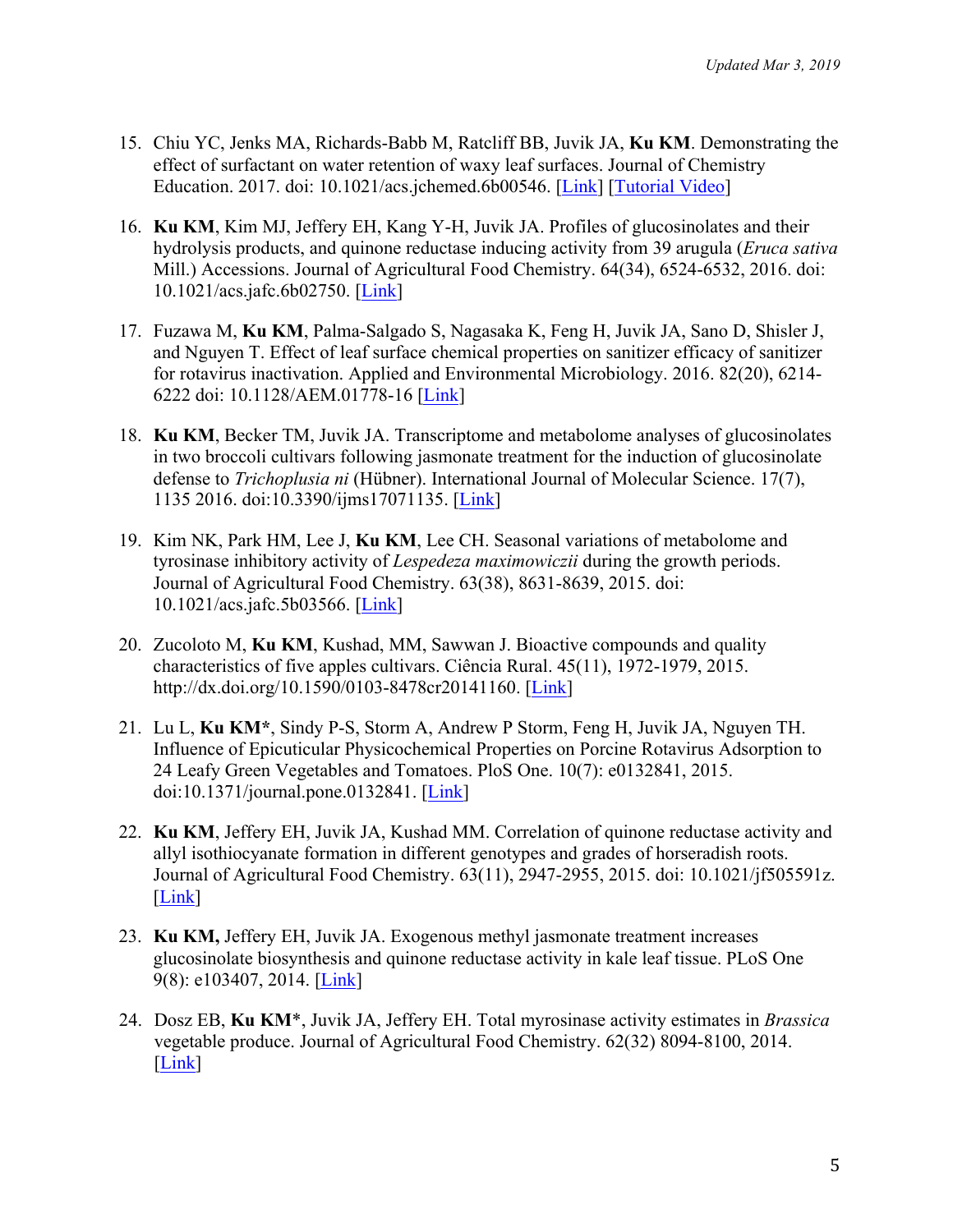- 15. Chiu YC, Jenks MA, Richards-Babb M, Ratcliff BB, Juvik JA, **Ku KM**. Demonstrating the effect of surfactant on water retention of waxy leaf surfaces. Journal of Chemistry Education. 2017. doi: 10.1021/acs.jchemed.6b00546. [Link] [Tutorial Video]
- 16. **Ku KM**, Kim MJ, Jeffery EH, Kang Y-H, Juvik JA. Profiles of glucosinolates and their hydrolysis products, and quinone reductase inducing activity from 39 arugula (*Eruca sativa* Mill.) Accessions. Journal of Agricultural Food Chemistry. 64(34), 6524-6532, 2016. doi: 10.1021/acs.jafc.6b02750. [Link]
- 17. Fuzawa M, **Ku KM**, Palma-Salgado S, Nagasaka K, Feng H, Juvik JA, Sano D, Shisler J, and Nguyen T. Effect of leaf surface chemical properties on sanitizer efficacy of sanitizer for rotavirus inactivation. Applied and Environmental Microbiology. 2016. 82(20), 6214- 6222 doi: 10.1128/AEM.01778-16 [Link]
- 18. **Ku KM**, Becker TM, Juvik JA. Transcriptome and metabolome analyses of glucosinolates in two broccoli cultivars following jasmonate treatment for the induction of glucosinolate defense to *Trichoplusia ni* (Hübner). International Journal of Molecular Science. 17(7), 1135 2016. doi:10.3390/ijms17071135. [Link]
- 19. Kim NK, Park HM, Lee J, **Ku KM**, Lee CH. Seasonal variations of metabolome and tyrosinase inhibitory activity of *Lespedeza maximowiczii* during the growth periods. Journal of Agricultural Food Chemistry. 63(38), 8631-8639, 2015. doi: 10.1021/acs.jafc.5b03566. [Link]
- 20. Zucoloto M, **Ku KM**, Kushad, MM, Sawwan J. Bioactive compounds and quality characteristics of five apples cultivars. Ciência Rural. 45(11), 1972-1979, 2015. http://dx.doi.org/10.1590/0103-8478cr20141160. [Link]
- 21. Lu L, **Ku KM\***, Sindy P-S, Storm A, Andrew P Storm, Feng H, Juvik JA, Nguyen TH. Influence of Epicuticular Physicochemical Properties on Porcine Rotavirus Adsorption to 24 Leafy Green Vegetables and Tomatoes. PloS One. 10(7): e0132841, 2015. doi:10.1371/journal.pone.0132841. [Link]
- 22. **Ku KM**, Jeffery EH, Juvik JA, Kushad MM. Correlation of quinone reductase activity and allyl isothiocyanate formation in different genotypes and grades of horseradish roots. Journal of Agricultural Food Chemistry. 63(11), 2947-2955, 2015. doi: 10.1021/jf505591z. [Link]
- 23. **Ku KM,** Jeffery EH, Juvik JA. Exogenous methyl jasmonate treatment increases glucosinolate biosynthesis and quinone reductase activity in kale leaf tissue. PLoS One 9(8): e103407, 2014. [Link]
- 24. Dosz EB, **Ku KM**\*, Juvik JA, Jeffery EH. Total myrosinase activity estimates in *Brassica* vegetable produce. Journal of Agricultural Food Chemistry. 62(32) 8094-8100, 2014. [Link]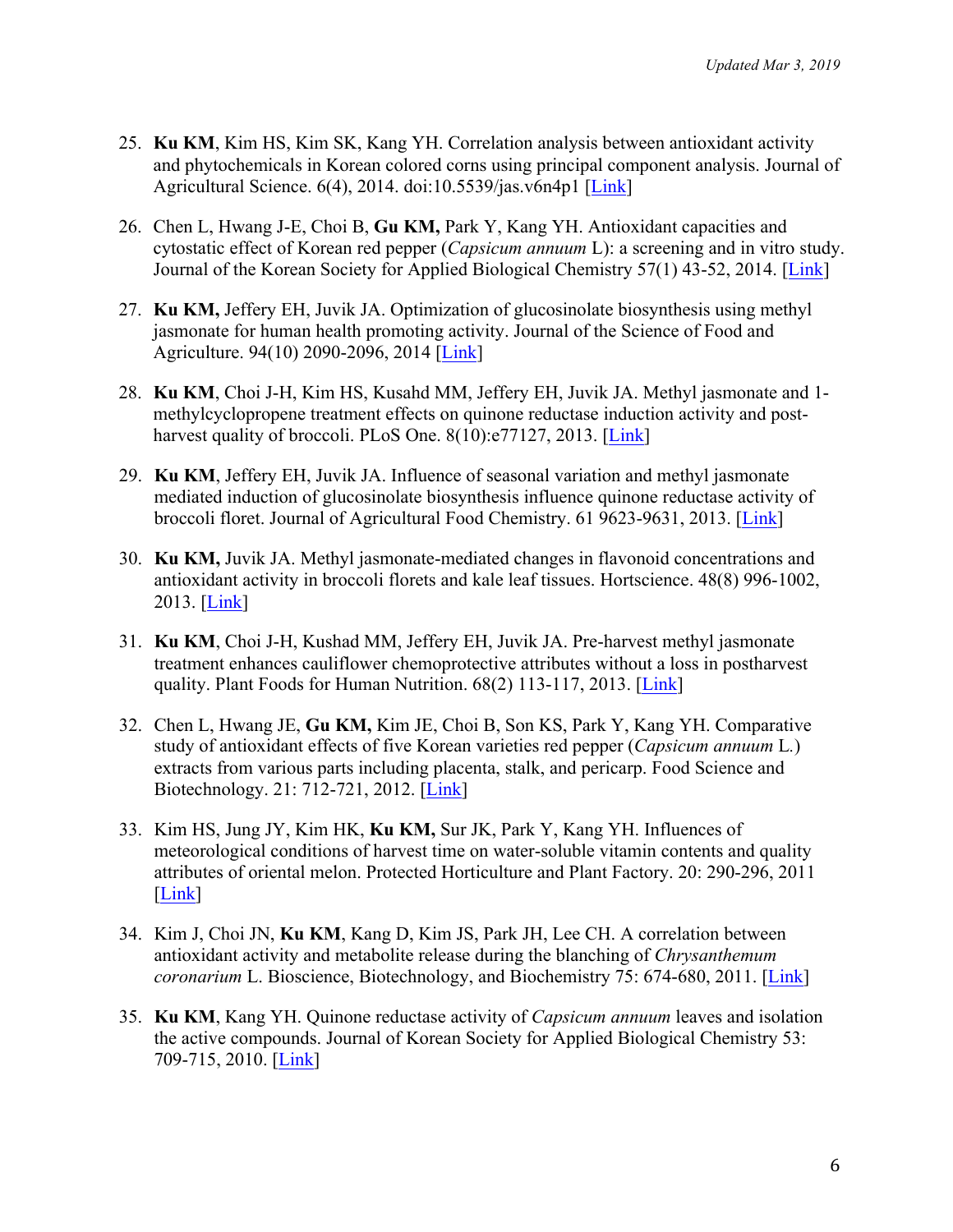- 25. **Ku KM**, Kim HS, Kim SK, Kang YH. Correlation analysis between antioxidant activity and phytochemicals in Korean colored corns using principal component analysis. Journal of Agricultural Science. 6(4), 2014. doi:10.5539/jas.v6n4p1 [Link]
- 26. Chen L, Hwang J-E, Choi B, **Gu KM,** Park Y, Kang YH. Antioxidant capacities and cytostatic effect of Korean red pepper (*Capsicum annuum* L): a screening and in vitro study. Journal of the Korean Society for Applied Biological Chemistry 57(1) 43-52, 2014. [Link]
- 27. **Ku KM,** Jeffery EH, Juvik JA. Optimization of glucosinolate biosynthesis using methyl jasmonate for human health promoting activity. Journal of the Science of Food and Agriculture. 94(10) 2090-2096, 2014 [Link]
- 28. **Ku KM**, Choi J-H, Kim HS, Kusahd MM, Jeffery EH, Juvik JA. Methyl jasmonate and 1 methylcyclopropene treatment effects on quinone reductase induction activity and postharvest quality of broccoli. PLoS One. 8(10):e77127, 2013. [Link]
- 29. **Ku KM**, Jeffery EH, Juvik JA. Influence of seasonal variation and methyl jasmonate mediated induction of glucosinolate biosynthesis influence quinone reductase activity of broccoli floret. Journal of Agricultural Food Chemistry. 61 9623-9631, 2013. [Link]
- 30. **Ku KM,** Juvik JA. Methyl jasmonate-mediated changes in flavonoid concentrations and antioxidant activity in broccoli florets and kale leaf tissues. Hortscience. 48(8) 996-1002, 2013. [Link]
- 31. **Ku KM**, Choi J-H, Kushad MM, Jeffery EH, Juvik JA. Pre-harvest methyl jasmonate treatment enhances cauliflower chemoprotective attributes without a loss in postharvest quality. Plant Foods for Human Nutrition. 68(2) 113-117, 2013. [Link]
- 32. Chen L, Hwang JE, **Gu KM,** Kim JE, Choi B, Son KS, Park Y, Kang YH. Comparative study of antioxidant effects of five Korean varieties red pepper (*Capsicum annuum* L*.*) extracts from various parts including placenta, stalk, and pericarp. Food Science and Biotechnology. 21: 712-721, 2012. [Link]
- 33. Kim HS, Jung JY, Kim HK, **Ku KM,** Sur JK, Park Y, Kang YH. Influences of meteorological conditions of harvest time on water-soluble vitamin contents and quality attributes of oriental melon. Protected Horticulture and Plant Factory. 20: 290-296, 2011 [Link]
- 34. Kim J, Choi JN, **Ku KM**, Kang D, Kim JS, Park JH, Lee CH. A correlation between antioxidant activity and metabolite release during the blanching of *Chrysanthemum coronarium* L. Bioscience, Biotechnology, and Biochemistry 75: 674-680, 2011. [Link]
- 35. **Ku KM**, Kang YH. Quinone reductase activity of *Capsicum annuum* leaves and isolation the active compounds. Journal of Korean Society for Applied Biological Chemistry 53: 709-715, 2010. [Link]